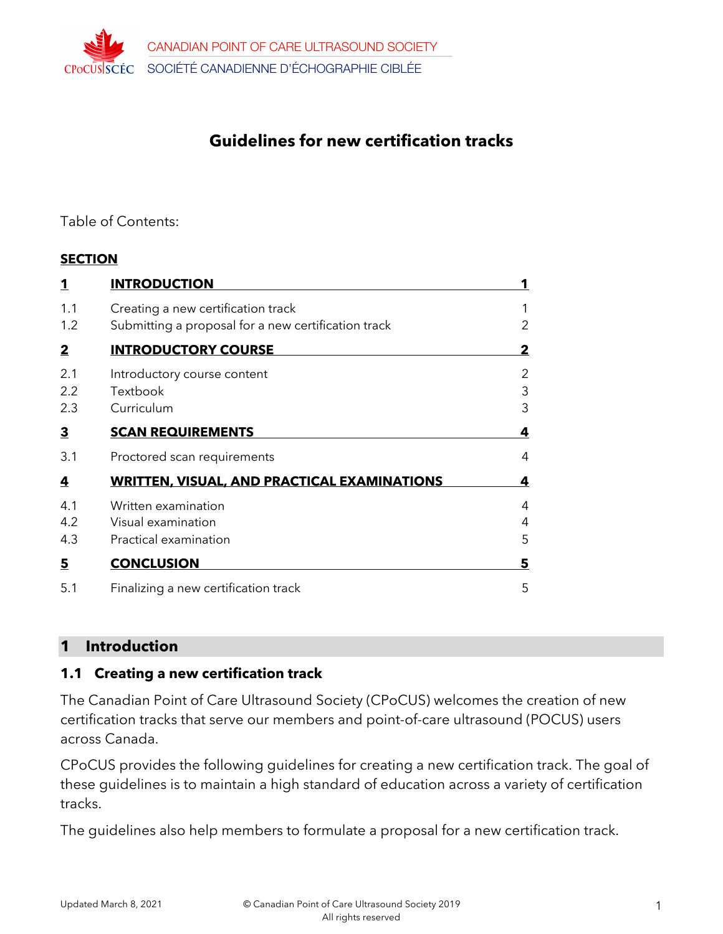

# **Guidelines for new certification tracks**

#### Table of Contents:

#### **SECTION**

| $\mathbf 1$             | <b>INTRODUCTION</b>                                 |   |
|-------------------------|-----------------------------------------------------|---|
| 1.1                     | Creating a new certification track                  |   |
| 1.2                     | Submitting a proposal for a new certification track | 2 |
| $\overline{2}$          | <b>INTRODUCTORY COURSE</b>                          | 2 |
| 2.1                     | Introductory course content                         | 2 |
| 2.2                     | Textbook                                            | 3 |
| 2.3                     | Curriculum                                          | 3 |
| $\overline{\mathbf{3}}$ | <b>SCAN REQUIREMENTS</b>                            | 4 |
| 3.1                     | Proctored scan requirements                         | 4 |
| <u>4</u>                | <b>WRITTEN, VISUAL, AND PRACTICAL EXAMINATIONS</b>  | 4 |
| 4.1                     | Written examination                                 | 4 |
| 4.2                     | Visual examination                                  | 4 |
| 4.3                     | Practical examination                               | 5 |
| $\overline{\mathbf{5}}$ | <b>CONCLUSION</b>                                   | 5 |
| 5.1                     | Finalizing a new certification track                | 5 |

#### **1 Introduction**

#### **1.1 Creating a new certification track**

The Canadian Point of Care Ultrasound Society (CPoCUS) welcomes the creation of new certification tracks that serve our members and point-of-care ultrasound (POCUS) users across Canada.

CPoCUS provides the following guidelines for creating a new certification track. The goal of these guidelines is to maintain a high standard of education across a variety of certification tracks.

The guidelines also help members to formulate a proposal for a new certification track.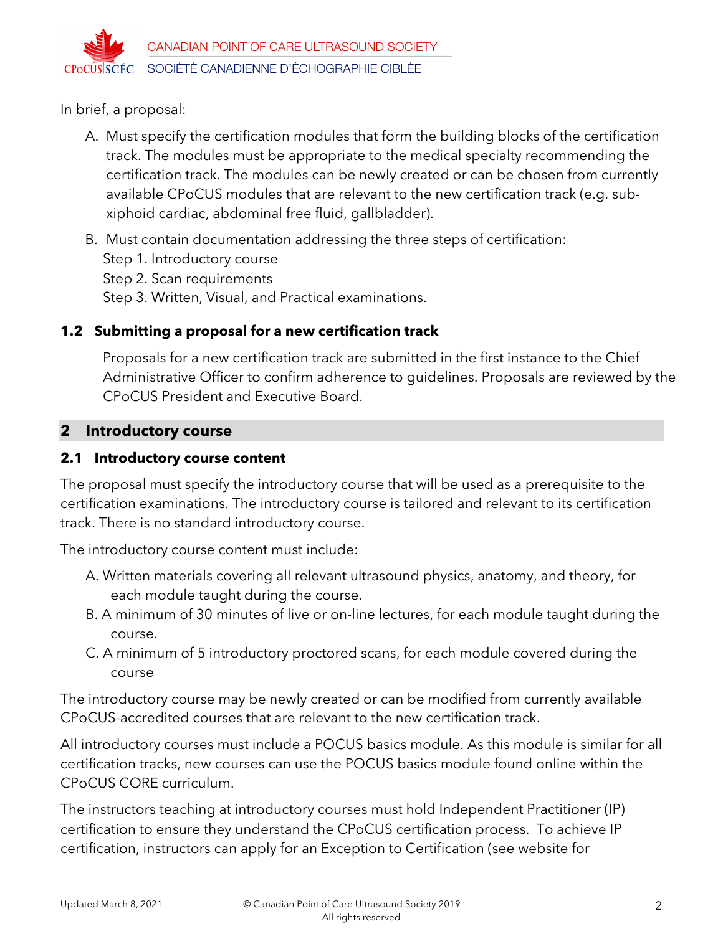

In brief, a proposal:

- A. Must specify the certification modules that form the building blocks of the certification track. The modules must be appropriate to the medical specialty recommending the certification track. The modules can be newly created or can be chosen from currently available CPoCUS modules that are relevant to the new certification track (e.g. subxiphoid cardiac, abdominal free fluid, gallbladder).
- B. Must contain documentation addressing the three steps of certification: Step 1. Introductory course Step 2. Scan requirements Step 3. Written, Visual, and Practical examinations.

## **1.2 Submitting a proposal for a new certification track**

Proposals for a new certification track are submitted in the first instance to the Chief Administrative Officer to confirm adherence to guidelines. Proposals are reviewed by the CPoCUS President and Executive Board.

### **2 Introductory course**

### **2.1 Introductory course content**

The proposal must specify the introductory course that will be used as a prerequisite to the certification examinations. The introductory course is tailored and relevant to its certification track. There is no standard introductory course.

The introductory course content must include:

- A. Written materials covering all relevant ultrasound physics, anatomy, and theory, for each module taught during the course.
- B. A minimum of 30 minutes of live or on-line lectures, for each module taught during the course.
- C. A minimum of 5 introductory proctored scans, for each module covered during the course

The introductory course may be newly created or can be modified from currently available CPoCUS-accredited courses that are relevant to the new certification track.

All introductory courses must include a POCUS basics module. As this module is similar for all certification tracks, new courses can use the POCUS basics module found online within the CPoCUS CORE curriculum.

The instructors teaching at introductory courses must hold Independent Practitioner (IP) certification to ensure they understand the CPoCUS certification process. To achieve IP certification, instructors can apply for an Exception to Certification (see website for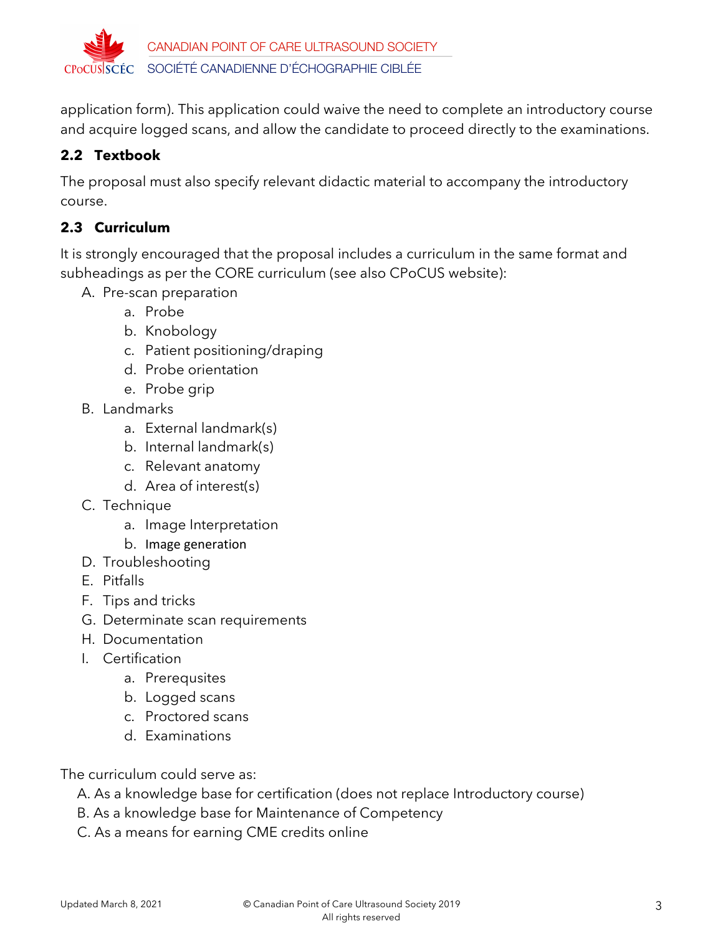

application form). This application could waive the need to complete an introductory course and acquire logged scans, and allow the candidate to proceed directly to the examinations.

# **2.2 Textbook**

The proposal must also specify relevant didactic material to accompany the introductory course.

## **2.3 Curriculum**

It is strongly encouraged that the proposal includes a curriculum in the same format and subheadings as per the CORE curriculum (see also CPoCUS website):

- A. Pre-scan preparation
	- a. Probe
	- b. Knobology
	- c. Patient positioning/draping
	- d. Probe orientation
	- e. Probe grip
- B. Landmarks
	- a. External landmark(s)
	- b. Internal landmark(s)
	- c. Relevant anatomy
	- d. Area of interest(s)
- C. Technique
	- a. Image Interpretation
	- b. Image generation
- D. Troubleshooting
- E. Pitfalls
- F. Tips and tricks
- G. Determinate scan requirements
- H. Documentation
- I. Certification
	- a. Prerequsites
	- b. Logged scans
	- c. Proctored scans
	- d. Examinations

The curriculum could serve as:

- A. As a knowledge base for certification (does not replace Introductory course)
- B. As a knowledge base for Maintenance of Competency
- C. As a means for earning CME credits online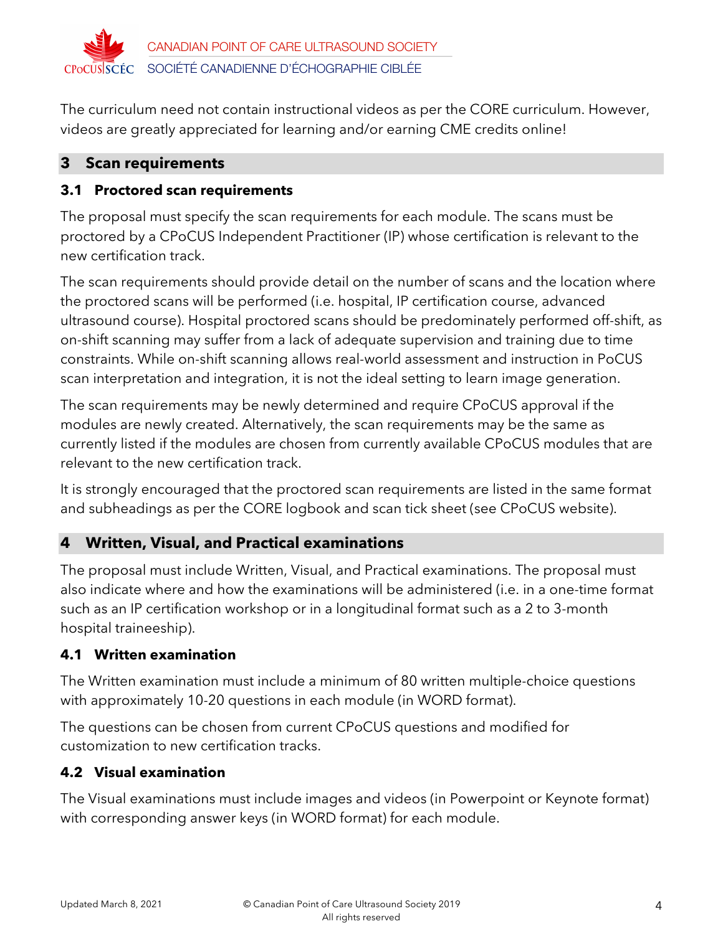

The curriculum need not contain instructional videos as per the CORE curriculum. However, videos are greatly appreciated for learning and/or earning CME credits online!

### **3 Scan requirements**

### **3.1 Proctored scan requirements**

The proposal must specify the scan requirements for each module. The scans must be proctored by a CPoCUS Independent Practitioner (IP) whose certification is relevant to the new certification track.

The scan requirements should provide detail on the number of scans and the location where the proctored scans will be performed (i.e. hospital, IP certification course, advanced ultrasound course). Hospital proctored scans should be predominately performed off-shift, as on-shift scanning may suffer from a lack of adequate supervision and training due to time constraints. While on-shift scanning allows real-world assessment and instruction in PoCUS scan interpretation and integration, it is not the ideal setting to learn image generation.

The scan requirements may be newly determined and require CPoCUS approval if the modules are newly created. Alternatively, the scan requirements may be the same as currently listed if the modules are chosen from currently available CPoCUS modules that are relevant to the new certification track.

It is strongly encouraged that the proctored scan requirements are listed in the same format and subheadings as per the CORE logbook and scan tick sheet (see CPoCUS website).

## **4 Written, Visual, and Practical examinations**

The proposal must include Written, Visual, and Practical examinations. The proposal must also indicate where and how the examinations will be administered (i.e. in a one-time format such as an IP certification workshop or in a longitudinal format such as a 2 to 3-month hospital traineeship).

## **4.1 Written examination**

The Written examination must include a minimum of 80 written multiple-choice questions with approximately 10-20 questions in each module (in WORD format).

The questions can be chosen from current CPoCUS questions and modified for customization to new certification tracks.

#### **4.2 Visual examination**

The Visual examinations must include images and videos (in Powerpoint or Keynote format) with corresponding answer keys (in WORD format) for each module.